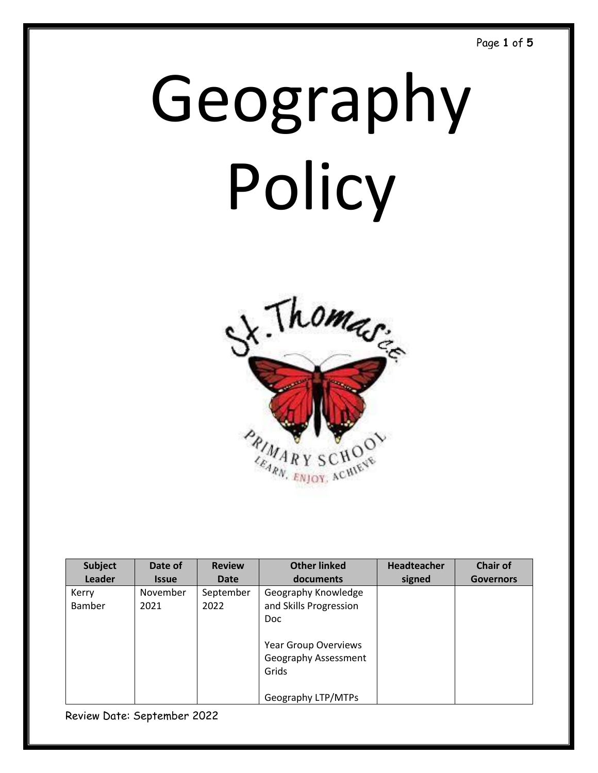# Geography Policy



| <b>Subject</b>         | Date of          | <b>Review</b>     | <b>Other linked</b>                                          | Headteacher | <b>Chair of</b>  |
|------------------------|------------------|-------------------|--------------------------------------------------------------|-------------|------------------|
| Leader                 | <b>Issue</b>     | Date              | documents                                                    | signed      | <b>Governors</b> |
| Kerry<br><b>Bamber</b> | November<br>2021 | September<br>2022 | Geography Knowledge<br>and Skills Progression<br><b>Doc</b>  |             |                  |
|                        |                  |                   | <b>Year Group Overviews</b><br>Geography Assessment<br>Grids |             |                  |
|                        |                  |                   | Geography LTP/MTPs                                           |             |                  |

Review Date: September 2022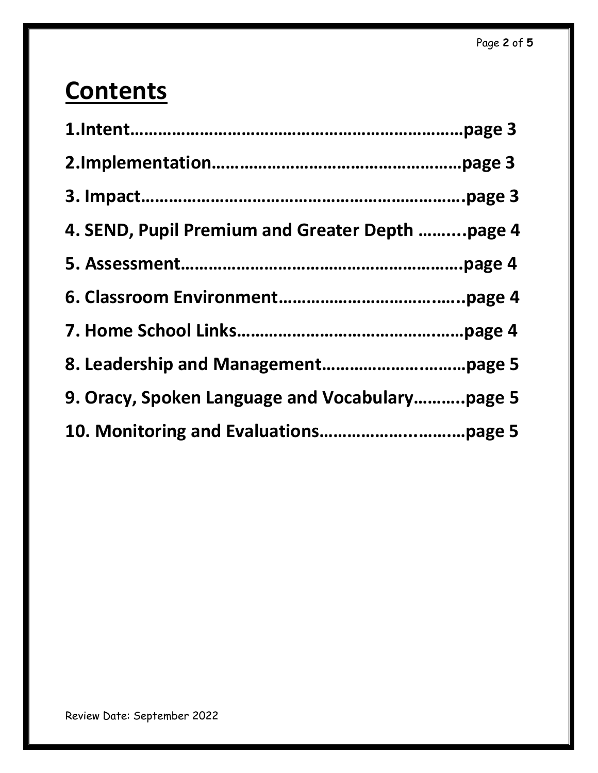# **Contents**

| 4. SEND, Pupil Premium and Greater Depth page 4 |
|-------------------------------------------------|
|                                                 |
|                                                 |
|                                                 |
|                                                 |
| 9. Oracy, Spoken Language and Vocabularypage 5  |
|                                                 |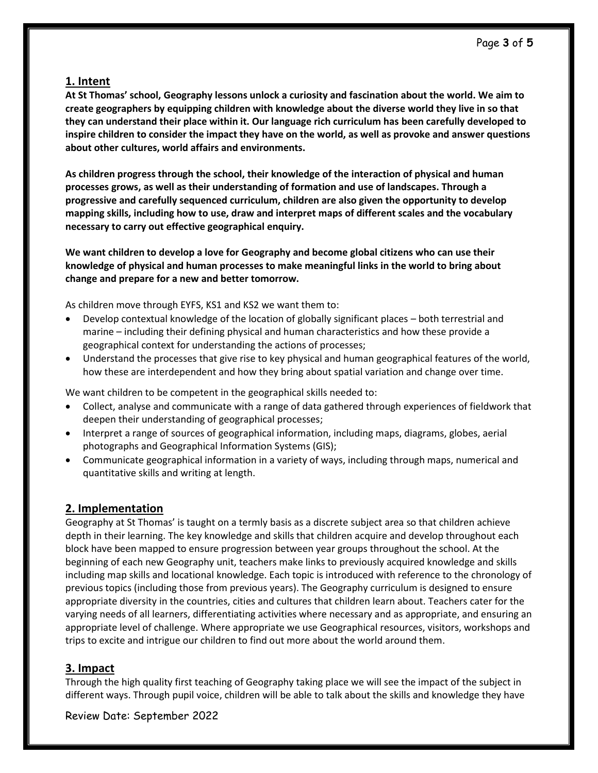#### **1. Intent**

**At St Thomas' school, Geography lessons unlock a curiosity and fascination about the world. We aim to create geographers by equipping children with knowledge about the diverse world they live in so that they can understand their place within it. Our language rich curriculum has been carefully developed to inspire children to consider the impact they have on the world, as well as provoke and answer questions about other cultures, world affairs and environments.** 

**As children progress through the school, their knowledge of the interaction of physical and human processes grows, as well as their understanding of formation and use of landscapes. Through a progressive and carefully sequenced curriculum, children are also given the opportunity to develop mapping skills, including how to use, draw and interpret maps of different scales and the vocabulary necessary to carry out effective geographical enquiry.**

**We want children to develop a love for Geography and become global citizens who can use their knowledge of physical and human processes to make meaningful links in the world to bring about change and prepare for a new and better tomorrow.**

As children move through EYFS, KS1 and KS2 we want them to:

- Develop contextual knowledge of the location of globally significant places both terrestrial and marine – including their defining physical and human characteristics and how these provide a geographical context for understanding the actions of processes;
- Understand the processes that give rise to key physical and human geographical features of the world, how these are interdependent and how they bring about spatial variation and change over time.

We want children to be competent in the geographical skills needed to:

- Collect, analyse and communicate with a range of data gathered through experiences of fieldwork that deepen their understanding of geographical processes;
- Interpret a range of sources of geographical information, including maps, diagrams, globes, aerial photographs and Geographical Information Systems (GIS);
- Communicate geographical information in a variety of ways, including through maps, numerical and quantitative skills and writing at length.

## **2. Implementation**

Geography at St Thomas' is taught on a termly basis as a discrete subject area so that children achieve depth in their learning. The key knowledge and skills that children acquire and develop throughout each block have been mapped to ensure progression between year groups throughout the school. At the beginning of each new Geography unit, teachers make links to previously acquired knowledge and skills including map skills and locational knowledge. Each topic is introduced with reference to the chronology of previous topics (including those from previous years). The Geography curriculum is designed to ensure appropriate diversity in the countries, cities and cultures that children learn about. Teachers cater for the varying needs of all learners, differentiating activities where necessary and as appropriate, and ensuring an appropriate level of challenge. Where appropriate we use Geographical resources, visitors, workshops and trips to excite and intrigue our children to find out more about the world around them.

#### **3. Impact**

Through the high quality first teaching of Geography taking place we will see the impact of the subject in different ways. Through pupil voice, children will be able to talk about the skills and knowledge they have

Review Date: September 2022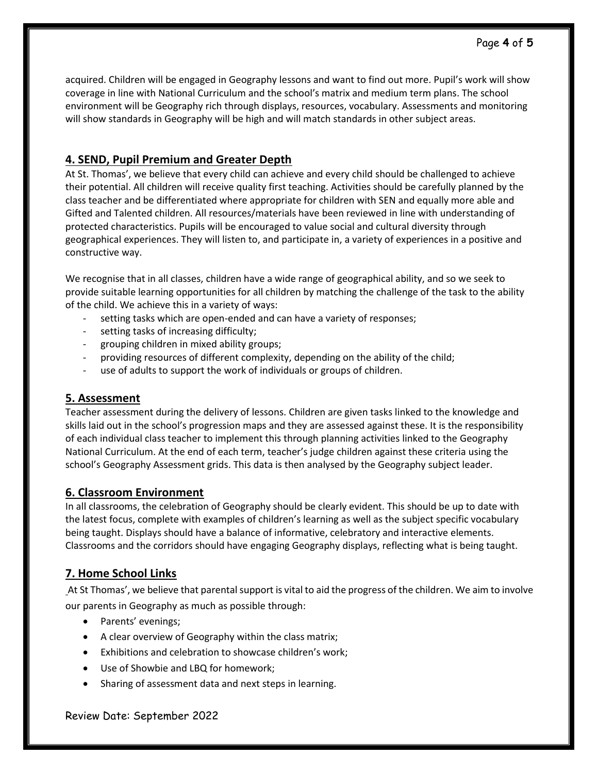# **4. SEND, Pupil Premium and Greater Depth**

At St. Thomas', we believe that every child can achieve and every child should be challenged to achieve their potential. All children will receive quality first teaching. Activities should be carefully planned by the class teacher and be differentiated where appropriate for children with SEN and equally more able and Gifted and Talented children. All resources/materials have been reviewed in line with understanding of protected characteristics. Pupils will be encouraged to value social and cultural diversity through geographical experiences. They will listen to, and participate in, a variety of experiences in a positive and constructive way.

We recognise that in all classes, children have a wide range of geographical ability, and so we seek to provide suitable learning opportunities for all children by matching the challenge of the task to the ability of the child. We achieve this in a variety of ways:

- setting tasks which are open-ended and can have a variety of responses;
- setting tasks of increasing difficulty;
- grouping children in mixed ability groups;
- providing resources of different complexity, depending on the ability of the child;
- use of adults to support the work of individuals or groups of children.

## **5. Assessment**

Teacher assessment during the delivery of lessons. Children are given tasks linked to the knowledge and skills laid out in the school's progression maps and they are assessed against these. It is the responsibility of each individual class teacher to implement this through planning activities linked to the Geography National Curriculum. At the end of each term, teacher's judge children against these criteria using the school's Geography Assessment grids. This data is then analysed by the Geography subject leader.

## **6. Classroom Environment**

In all classrooms, the celebration of Geography should be clearly evident. This should be up to date with the latest focus, complete with examples of children's learning as well as the subject specific vocabulary being taught. Displays should have a balance of informative, celebratory and interactive elements. Classrooms and the corridors should have engaging Geography displays, reflecting what is being taught.

# **7. Home School Links**

At St Thomas', we believe that parental support is vital to aid the progress of the children. We aim to involve our parents in Geography as much as possible through:

- Parents' evenings;
- A clear overview of Geography within the class matrix;
- Exhibitions and celebration to showcase children's work;
- Use of Showbie and LBQ for homework;
- Sharing of assessment data and next steps in learning.

#### Review Date: September 2022